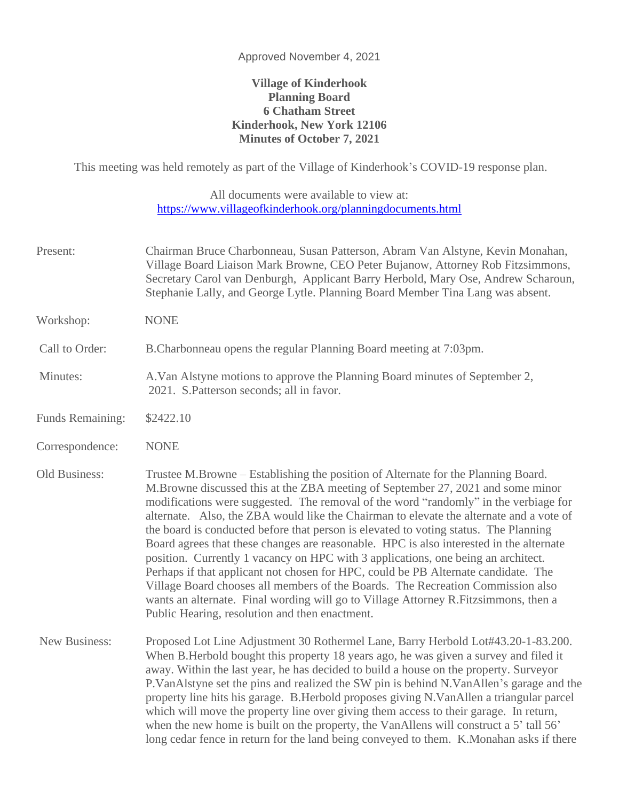## Approved November 4, 2021

## **Village of Kinderhook Planning Board 6 Chatham Street Kinderhook, New York 12106 Minutes of October 7, 2021**

This meeting was held remotely as part of the Village of Kinderhook's COVID-19 response plan.

All documents were available to view at: <https://www.villageofkinderhook.org/planningdocuments.html>

- Present: Chairman Bruce Charbonneau, Susan Patterson, Abram Van Alstyne, Kevin Monahan, Village Board Liaison Mark Browne, CEO Peter Bujanow, Attorney Rob Fitzsimmons, Secretary Carol van Denburgh, Applicant Barry Herbold, Mary Ose, Andrew Scharoun, Stephanie Lally, and George Lytle. Planning Board Member Tina Lang was absent.
- 
- Minutes: A.Van Alstyne motions to approve the Planning Board minutes of September 2,

Call to Order: B.Charbonneau opens the regular Planning Board meeting at 7:03pm.

- 2021. S.Patterson seconds; all in favor.
- Funds Remaining: \$2422.10

Workshop: NONE

- Correspondence: NONE
- Old Business: Trustee M.Browne Establishing the position of Alternate for the Planning Board. M.Browne discussed this at the ZBA meeting of September 27, 2021 and some minor modifications were suggested. The removal of the word "randomly" in the verbiage for alternate. Also, the ZBA would like the Chairman to elevate the alternate and a vote of the board is conducted before that person is elevated to voting status. The Planning Board agrees that these changes are reasonable. HPC is also interested in the alternate position. Currently 1 vacancy on HPC with 3 applications, one being an architect. Perhaps if that applicant not chosen for HPC, could be PB Alternate candidate. The Village Board chooses all members of the Boards. The Recreation Commission also wants an alternate. Final wording will go to Village Attorney R.Fitzsimmons, then a Public Hearing, resolution and then enactment.
- New Business: Proposed Lot Line Adjustment 30 Rothermel Lane, Barry Herbold Lot#43.20-1-83.200. When B.Herbold bought this property 18 years ago, he was given a survey and filed it away. Within the last year, he has decided to build a house on the property. Surveyor P.VanAlstyne set the pins and realized the SW pin is behind N.VanAllen's garage and the property line hits his garage. B.Herbold proposes giving N.VanAllen a triangular parcel which will move the property line over giving them access to their garage. In return, when the new home is built on the property, the VanAllens will construct a 5' tall 56' long cedar fence in return for the land being conveyed to them. K.Monahan asks if there